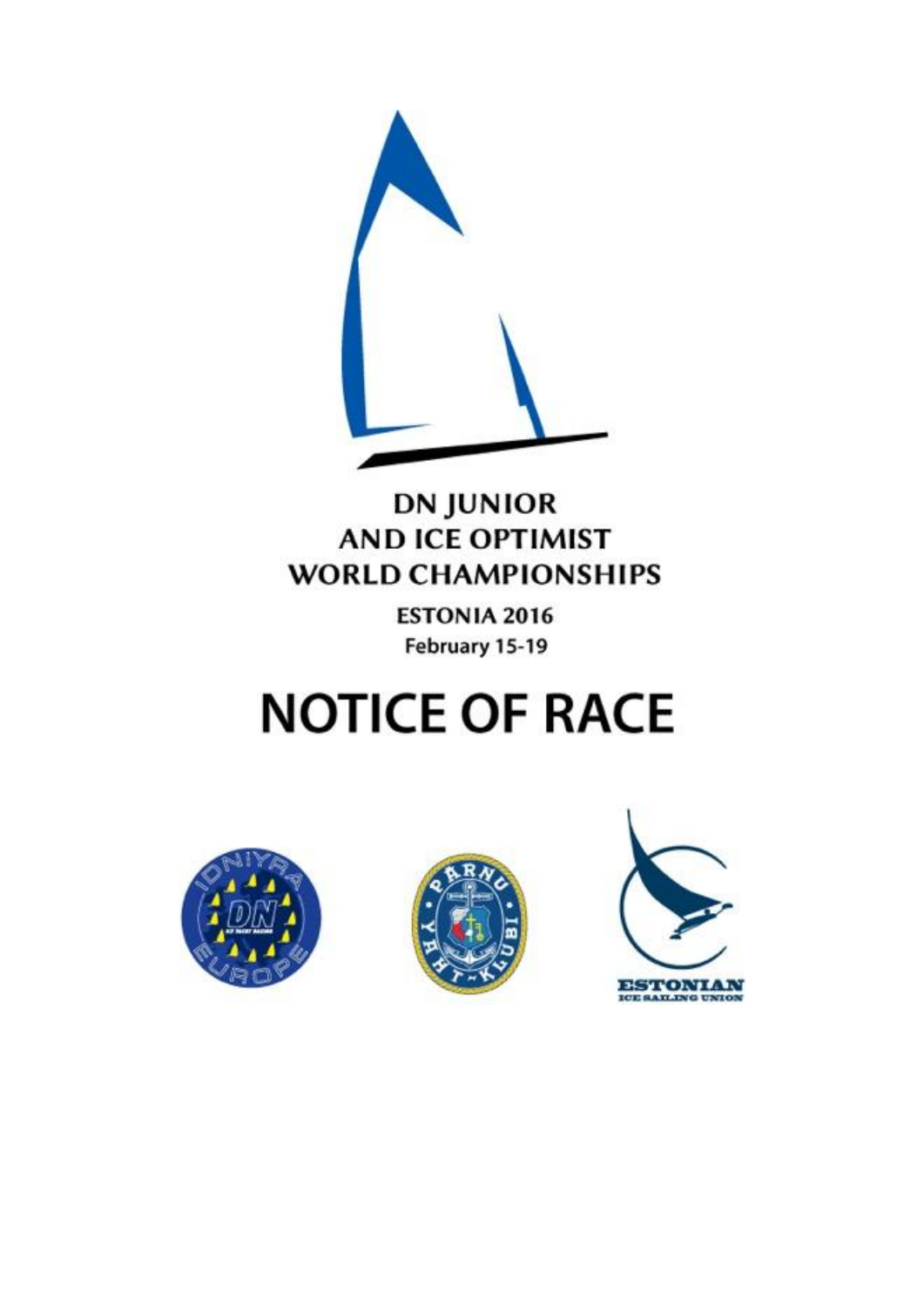

## **DN JUNIOR AND ICE OPTIMIST WORLD CHAMPIONSHIPS**

**ESTONIA 2016** February 15-19

# **NOTICE OF RACE**





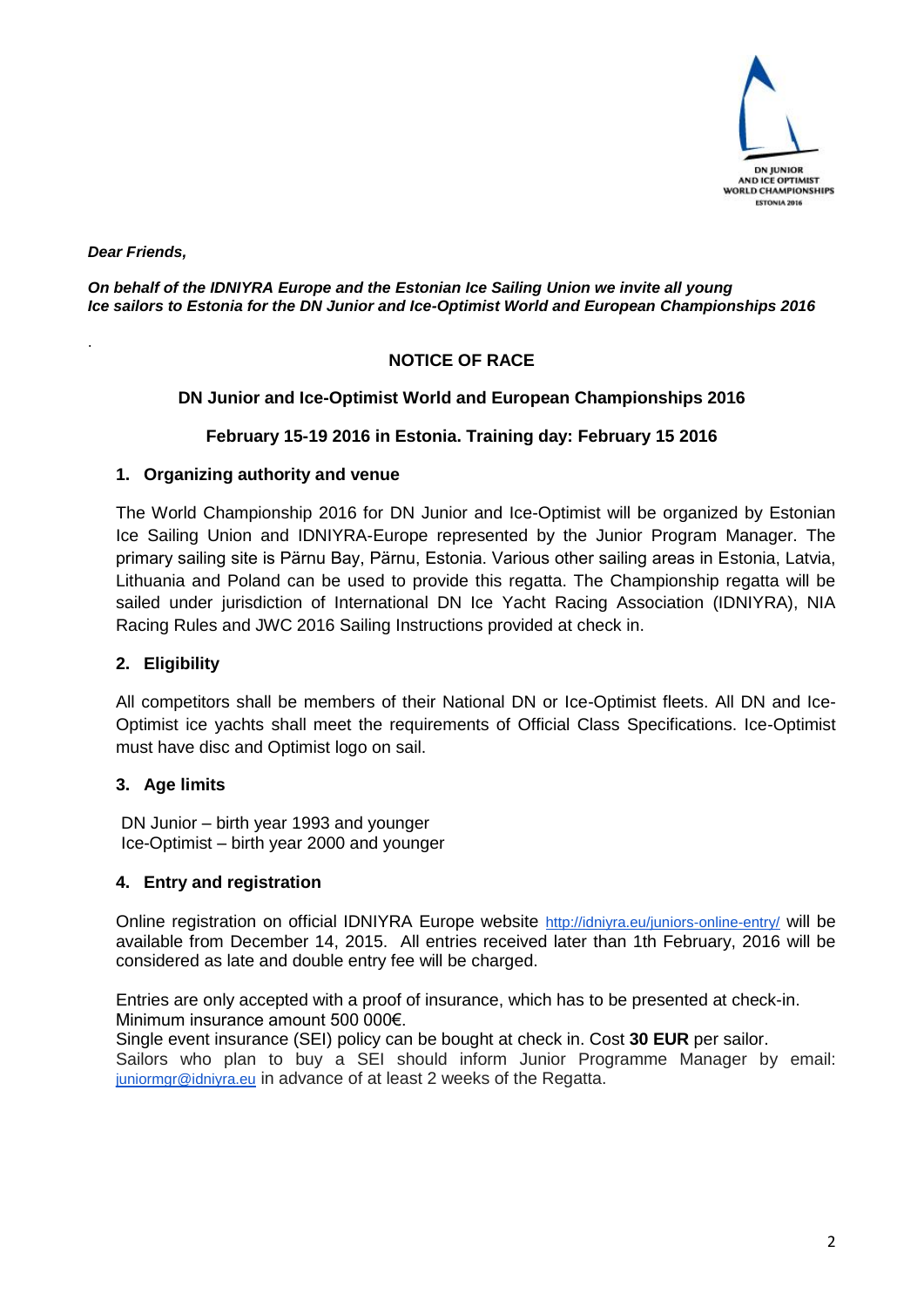

*Dear Friends,*

.

#### *On behalf of the IDNIYRA Europe and the Estonian Ice Sailing Union we invite all young Ice sailors to Estonia for the DN Junior and Ice-Optimist World and European Championships 2016*

#### **NOTICE OF RACE**

#### **DN Junior and Ice-Optimist World and European Championships 2016**

#### **February 15-19 2016 in Estonia. Training day: February 15 2016**

#### **1. Organizing authority and venue**

The World Championship 2016 for DN Junior and Ice-Optimist will be organized by Estonian Ice Sailing Union and IDNIYRA-Europe represented by the Junior Program Manager. The primary sailing site is Pärnu Bay, Pärnu, Estonia. Various other sailing areas in Estonia, Latvia, Lithuania and Poland can be used to provide this regatta. The Championship regatta will be sailed under jurisdiction of International DN Ice Yacht Racing Association (IDNIYRA), NIA Racing Rules and JWC 2016 Sailing Instructions provided at check in.

#### **2. Eligibility**

All competitors shall be members of their National DN or Ice-Optimist fleets. All DN and Ice-Optimist ice yachts shall meet the requirements of Official Class Specifications. Ice-Optimist must have disc and Optimist logo on sail.

#### **3. Age limits**

 DN Junior – birth year 1993 and younger Ice-Optimist – birth year 2000 and younger

#### **4. Entry and registration**

Online registration on official IDNIYRA Europe website <http://idniyra.eu/juniors-online-entry/> will be available from December 14, 2015. All entries received later than 1th February, 2016 will be considered as late and double entry fee will be charged.

Entries are only accepted with a proof of insurance, which has to be presented at check-in. Minimum insurance amount 500 000€.

Single event insurance (SEI) policy can be bought at check in. Cost **30 EUR** per sailor. Sailors who plan to buy a SEI should inform Junior Programme Manager by email:

[juniormgr@idniyra.eu](mailto:juniormgr@idniyra.eu) in advance of at least 2 weeks of the Regatta.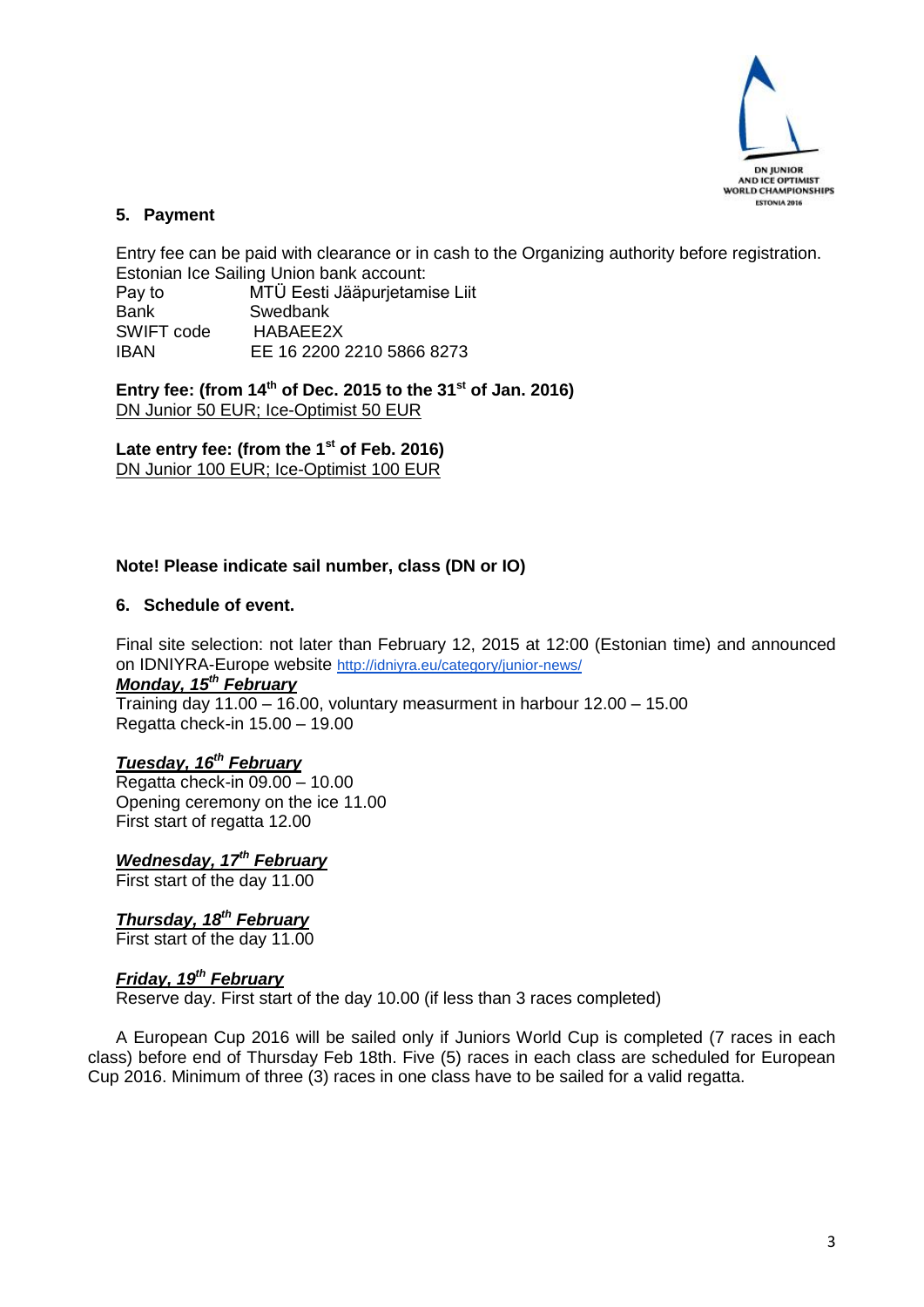

#### **5. Payment**

Entry fee can be paid with clearance or in cash to the Organizing authority before registration. Estonian Ice Sailing Union bank account: Pay to MTÜ Eesti Jääpurjetamise Liit Bank Swedbank SWIFT code HABAEE2X IBAN EE 16 2200 2210 5866 8273

**Entry fee: (from 14th of Dec. 2015 to the 31st of Jan. 2016)** DN Junior 50 EUR; Ice-Optimist 50 EUR

**Late entry fee: (from the 1st of Feb. 2016)** DN Junior 100 EUR; Ice-Optimist 100 EUR

#### **Note! Please indicate sail number, class (DN or IO)**

#### **6. Schedule of event.**

Final site selection: not later than February 12, 2015 at 12:00 (Estonian time) and announced on IDNIYRA-Europe website <http://idniyra.eu/category/junior-news/> *Monday, 15th February*

Training day 11.00 – 16.00, voluntary measurment in harbour 12.00 – 15.00 Regatta check-in 15.00 – 19.00

### *Tuesday, 16th February*

Regatta check-in 09.00 – 10.00 Opening ceremony on the ice 11.00 First start of regatta 12.00

*Wednesday, 17th February*

First start of the day 11.00

#### *Thursday, 18th February*

First start of the day 11.00

#### *Friday, 19th February*

Reserve day. First start of the day 10.00 (if less than 3 races completed)

A European Cup 2016 will be sailed only if Juniors World Cup is completed (7 races in each class) before end of Thursday Feb 18th. Five (5) races in each class are scheduled for European Cup 2016. Minimum of three (3) races in one class have to be sailed for a valid regatta.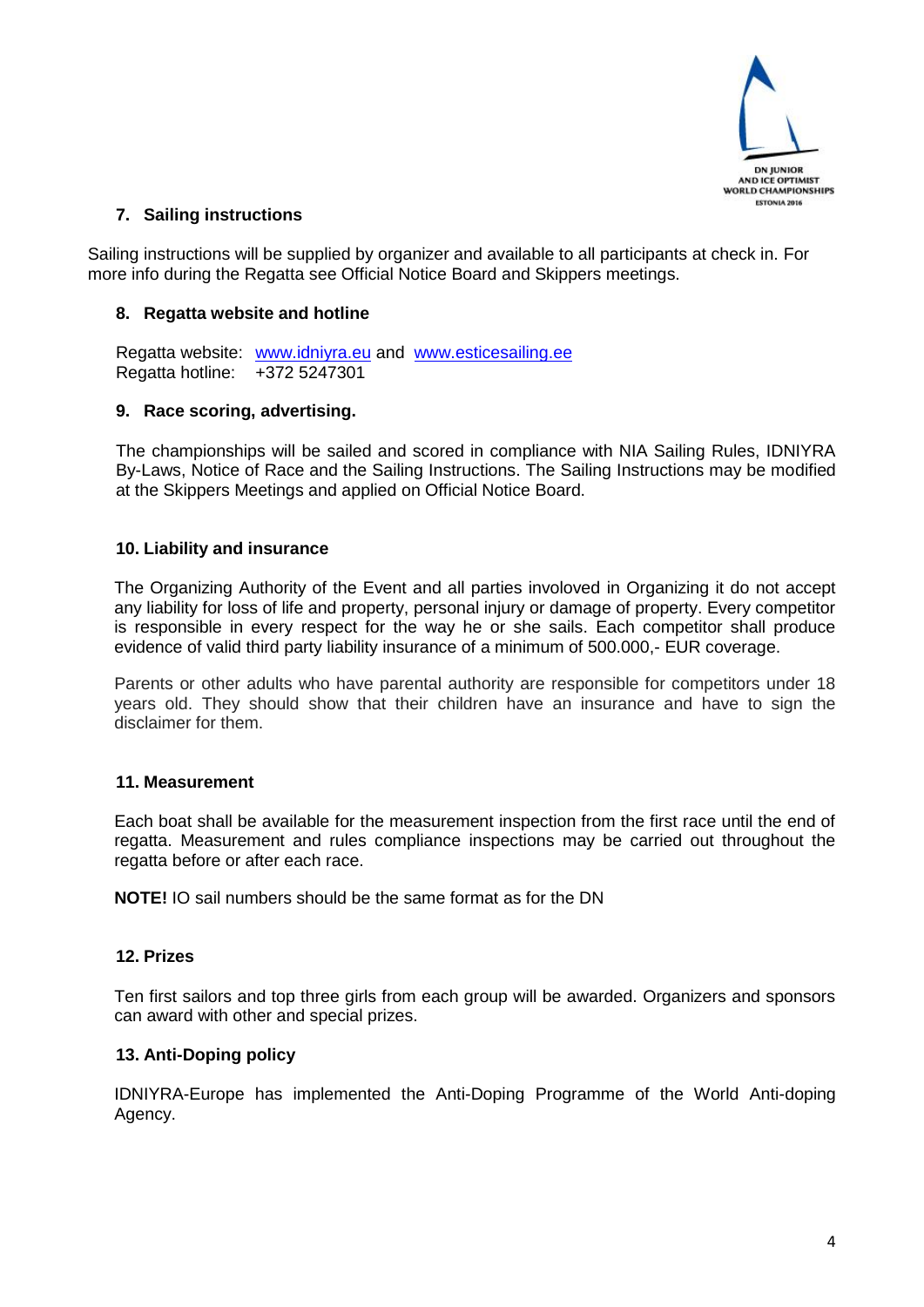

#### **7. Sailing instructions**

Sailing instructions will be supplied by organizer and available to all participants at check in. For more info during the Regatta see Official Notice Board and Skippers meetings.

#### **8. Regatta website and hotline**

Regatta website: [www.idniyra.eu](http://www.idniyra.eu/) and [www.esticesailing.ee](http://www.esticesailing.ee/) Regatta hotline: +372 5247301

#### **9. Race scoring, advertising.**

The championships will be sailed and scored in compliance with NIA Sailing Rules, IDNIYRA By-Laws, Notice of Race and the Sailing Instructions. The Sailing Instructions may be modified at the Skippers Meetings and applied on Official Notice Board.

#### **10. Liability and insurance**

The Organizing Authority of the Event and all parties involoved in Organizing it do not accept any liability for loss of life and property, personal injury or damage of property. Every competitor is responsible in every respect for the way he or she sails. Each competitor shall produce evidence of valid third party liability insurance of a minimum of 500.000,- EUR coverage.

Parents or other adults who have parental authority are responsible for competitors under 18 years old. They should show that their children have an insurance and have to sign the disclaimer for them.

#### **11. Measurement**

Each boat shall be available for the measurement inspection from the first race until the end of regatta. Measurement and rules compliance inspections may be carried out throughout the regatta before or after each race.

**NOTE!** IO sail numbers should be the same format as for the DN

#### **12. Prizes**

Ten first sailors and top three girls from each group will be awarded. Organizers and sponsors can award with other and special prizes.

#### **13. Anti-Doping policy**

IDNIYRA-Europe has implemented the Anti-Doping Programme of the World Anti-doping Agency.